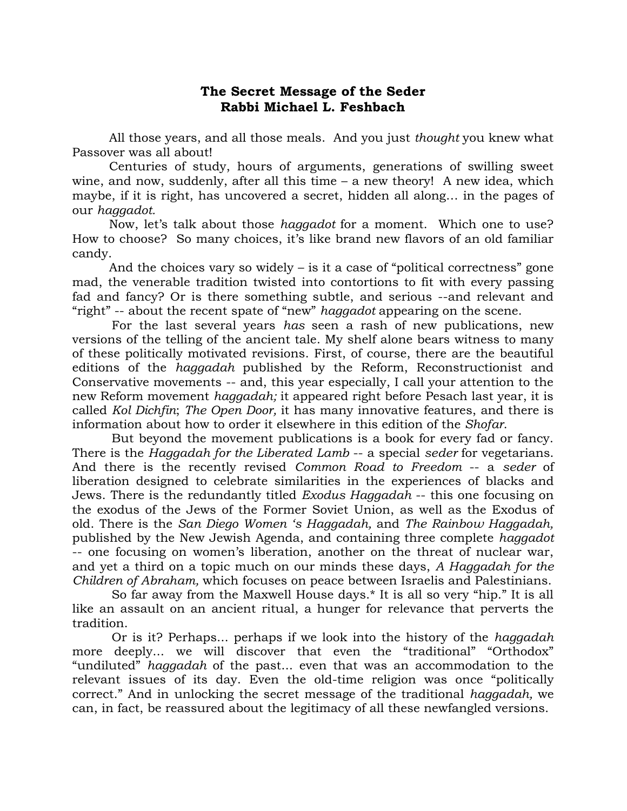## **The Secret Message of the Seder Rabbi Michael L. Feshbach**

All those years, and all those meals. And you just *thought* you knew what Passover was all about!

Centuries of study, hours of arguments, generations of swilling sweet wine, and now, suddenly, after all this time – a new theory! A new idea, which maybe, if it is right, has uncovered a secret, hidden all along… in the pages of our *haggadot.*

Now, let's talk about those *haggadot* for a moment. Which one to use? How to choose? So many choices, it's like brand new flavors of an old familiar candy.

And the choices vary so widely – is it a case of "political correctness" gone mad, the venerable tradition twisted into contortions to fit with every passing fad and fancy? Or is there something subtle, and serious --and relevant and "right" -- about the recent spate of "new" *haggadot* appearing on the scene.

For the last several years *has* seen a rash of new publications, new versions of the telling of the ancient tale. My shelf alone bears witness to many of these politically motivated revisions. First, of course, there are the beautiful editions of the *haggadah* published by the Reform, Reconstructionist and Conservative movements -- and, this year especially, I call your attention to the new Reform movement *haggadah;* it appeared right before Pesach last year, it is called *Kol Dichfin*; *The Open Door,* it has many innovative features, and there is information about how to order it elsewhere in this edition of the *Shofar*.

But beyond the movement publications is a book for every fad or fancy. There is the *Haggadah for the Liberated Lamb* -- a special *seder* for vegetarians. And there is the recently revised *Common Road to Freedom* -- a *seder* of liberation designed to celebrate similarities in the experiences of blacks and Jews. There is the redundantly titled *Exodus Haggadah* -- this one focusing on the exodus of the Jews of the Former Soviet Union, as well as the Exodus of old. There is the *San Diego Women 's Haggadah,* and *The Rainbow Haggadah,*  published by the New Jewish Agenda, and containing three complete *haggadot*  -- one focusing on women's liberation, another on the threat of nuclear war, and yet a third on a topic much on our minds these days, *A Haggadah for the Children of Abraham,* which focuses on peace between Israelis and Palestinians.

So far away from the Maxwell House days.\* It is all so very "hip." It is all like an assault on an ancient ritual, a hunger for relevance that perverts the tradition.

Or is it? Perhaps... perhaps if we look into the history of the *haggadah*  more deeply... we will discover that even the "traditional" "Orthodox" "undiluted" *haggadah* of the past... even that was an accommodation to the relevant issues of its day. Even the old-time religion was once "politically correct." And in unlocking the secret message of the traditional *haggadah,* we can, in fact, be reassured about the legitimacy of all these newfangled versions.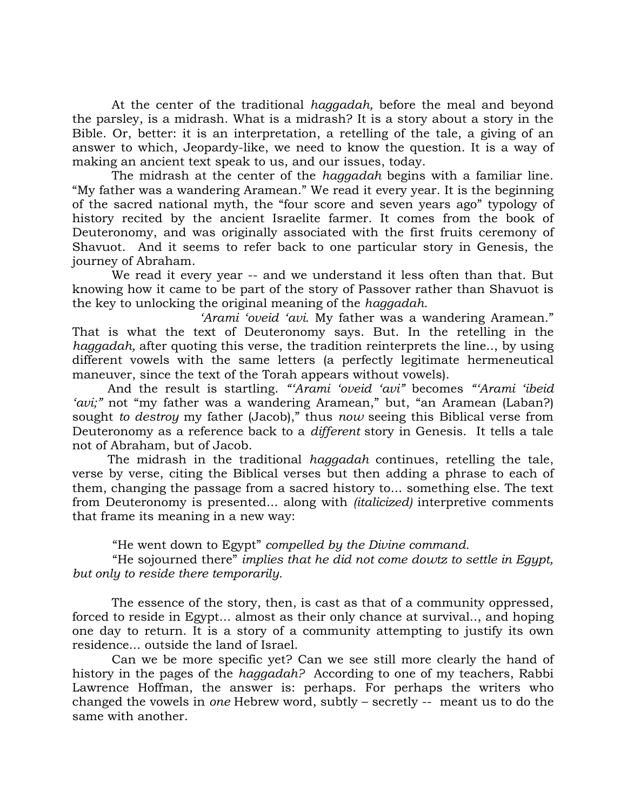At the center of the traditional *haggadah,* before the meal and beyond the parsley, is a midrash. What is a midrash? It is a story about a story in the Bible. Or, better: it is an interpretation, a retelling of the tale, a giving of an answer to which, Jeopardy-like, we need to know the question. It is a way of making an ancient text speak to us, and our issues, today.

The midrash at the center of the *haggadah* begins with a familiar line. "My father was a wandering Aramean." We read it every year. It is the beginning of the sacred national myth, the "four score and seven years ago" typology of history recited by the ancient Israelite farmer. It comes from the book of Deuteronomy, and was originally associated with the first fruits ceremony of Shavuot. And it seems to refer back to one particular story in Genesis, the journey of Abraham.

We read it every year -- and we understand it less often than that. But knowing how it came to be part of the story of Passover rather than Shavuot is the key to unlocking the original meaning of the *haggadah.*

*'Arami 'oveid 'avi.* My father was a wandering Aramean." That is what the text of Deuteronomy says. But. In the retelling in the *haggadah,* after quoting this verse, the tradition reinterprets the line.., by using different vowels with the same letters (a perfectly legitimate hermeneutical maneuver, since the text of the Torah appears without vowels).

 And the result is startling. *"'Arami 'oveid 'avi"* becomes *"'Arami 'ibeid 'avi;"* not "my father was a wandering Aramean," but, "an Aramean (Laban?) sought *to destroy* my father (Jacob)," thus *now* seeing this Biblical verse from Deuteronomy as a reference back to a *different* story in Genesis. It tells a tale not of Abraham, but of Jacob.

 The midrash in the traditional *haggadah* continues, retelling the tale, verse by verse, citing the Biblical verses but then adding a phrase to each of them, changing the passage from a sacred history to... something else. The text from Deuteronomy is presented... along with *(italicized)* interpretive comments that frame its meaning in a new way:

"He went down to Egypt" *compelled by the Divine command.*

"He sojourned there" *implies that he did not come dowtz to settle in Egypt, but only to reside there temporarily.*

The essence of the story, then, is cast as that of a community oppressed, forced to reside in Egypt... almost as their only chance at survival.., and hoping one day to return. It is a story of a community attempting to justify its own residence... outside the land of Israel.

Can we be more specific yet? Can we see still more clearly the hand of history in the pages of the *haggadah?* According to one of my teachers, Rabbi Lawrence Hoffman, the answer is: perhaps. For perhaps the writers who changed the vowels in *one* Hebrew word, subtly – secretly -- meant us to do the same with another.